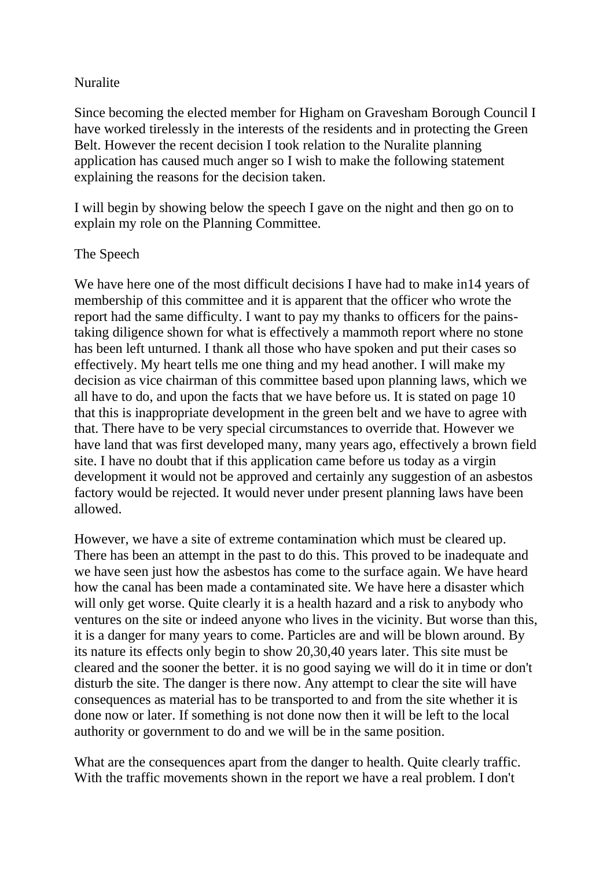## Nuralite

Since becoming the elected member for Higham on Gravesham Borough Council I have worked tirelessly in the interests of the residents and in protecting the Green Belt. However the recent decision I took relation to the Nuralite planning application has caused much anger so I wish to make the following statement explaining the reasons for the decision taken.

I will begin by showing below the speech I gave on the night and then go on to explain my role on the Planning Committee.

## The Speech

We have here one of the most difficult decisions I have had to make in 14 years of membership of this committee and it is apparent that the officer who wrote the report had the same difficulty. I want to pay my thanks to officers for the painstaking diligence shown for what is effectively a mammoth report where no stone has been left unturned. I thank all those who have spoken and put their cases so effectively. My heart tells me one thing and my head another. I will make my decision as vice chairman of this committee based upon planning laws, which we all have to do, and upon the facts that we have before us. It is stated on page 10 that this is inappropriate development in the green belt and we have to agree with that. There have to be very special circumstances to override that. However we have land that was first developed many, many years ago, effectively a brown field site. I have no doubt that if this application came before us today as a virgin development it would not be approved and certainly any suggestion of an asbestos factory would be rejected. It would never under present planning laws have been allowed.

However, we have a site of extreme contamination which must be cleared up. There has been an attempt in the past to do this. This proved to be inadequate and we have seen just how the asbestos has come to the surface again. We have heard how the canal has been made a contaminated site. We have here a disaster which will only get worse. Quite clearly it is a health hazard and a risk to anybody who ventures on the site or indeed anyone who lives in the vicinity. But worse than this, it is a danger for many years to come. Particles are and will be blown around. By its nature its effects only begin to show 20,30,40 years later. This site must be cleared and the sooner the better. it is no good saying we will do it in time or don't disturb the site. The danger is there now. Any attempt to clear the site will have consequences as material has to be transported to and from the site whether it is done now or later. If something is not done now then it will be left to the local authority or government to do and we will be in the same position.

What are the consequences apart from the danger to health. Quite clearly traffic. With the traffic movements shown in the report we have a real problem. I don't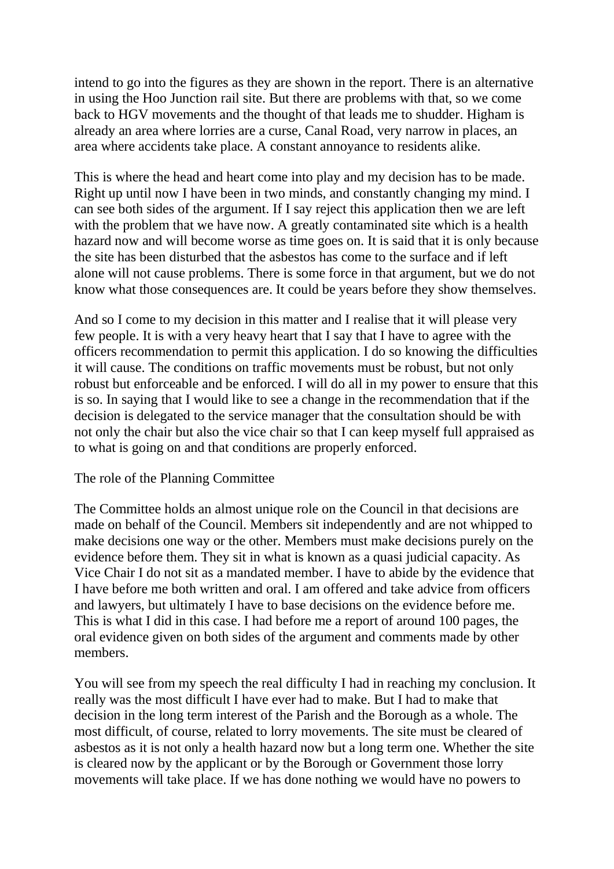intend to go into the figures as they are shown in the report. There is an alternative in using the Hoo Junction rail site. But there are problems with that, so we come back to HGV movements and the thought of that leads me to shudder. Higham is already an area where lorries are a curse, Canal Road, very narrow in places, an area where accidents take place. A constant annoyance to residents alike.

This is where the head and heart come into play and my decision has to be made. Right up until now I have been in two minds, and constantly changing my mind. I can see both sides of the argument. If I say reject this application then we are left with the problem that we have now. A greatly contaminated site which is a health hazard now and will become worse as time goes on. It is said that it is only because the site has been disturbed that the asbestos has come to the surface and if left alone will not cause problems. There is some force in that argument, but we do not know what those consequences are. It could be years before they show themselves.

And so I come to my decision in this matter and I realise that it will please very few people. It is with a very heavy heart that I say that I have to agree with the officers recommendation to permit this application. I do so knowing the difficulties it will cause. The conditions on traffic movements must be robust, but not only robust but enforceable and be enforced. I will do all in my power to ensure that this is so. In saying that I would like to see a change in the recommendation that if the decision is delegated to the service manager that the consultation should be with not only the chair but also the vice chair so that I can keep myself full appraised as to what is going on and that conditions are properly enforced.

## The role of the Planning Committee

The Committee holds an almost unique role on the Council in that decisions are made on behalf of the Council. Members sit independently and are not whipped to make decisions one way or the other. Members must make decisions purely on the evidence before them. They sit in what is known as a quasi judicial capacity. As Vice Chair I do not sit as a mandated member. I have to abide by the evidence that I have before me both written and oral. I am offered and take advice from officers and lawyers, but ultimately I have to base decisions on the evidence before me. This is what I did in this case. I had before me a report of around 100 pages, the oral evidence given on both sides of the argument and comments made by other members.

You will see from my speech the real difficulty I had in reaching my conclusion. It really was the most difficult I have ever had to make. But I had to make that decision in the long term interest of the Parish and the Borough as a whole. The most difficult, of course, related to lorry movements. The site must be cleared of asbestos as it is not only a health hazard now but a long term one. Whether the site is cleared now by the applicant or by the Borough or Government those lorry movements will take place. If we has done nothing we would have no powers to